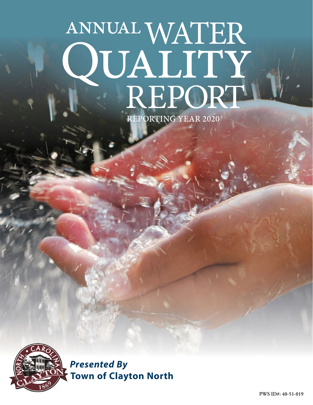# ANNUAL WATER **QUALITY**<br>REPORT REPORTING YEAR 2020



*Presented By* **Town of Clayton North**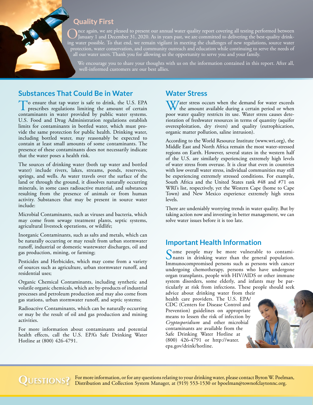## **Quality First**

Once again, we are pleased to present our annual water quality report covering all testing performed between January 1 and December 31, 2020. As in years past, we are committed to delivering the best-quality drink-<br>in a ma ing water possible. To that end, we remain vigilant in meeting the challenges of new regulations, source water protection, water conservation, and community outreach and education while continuing to serve the needs of all our water users. Thank you for allowing us the opportunity to serve you and your family.

We encourage you to share your thoughts with us on the information contained in this report. After all, well-informed customers are our best allies.

# **Substances That Could Be in Water**

To ensure that tap water is safe to drink, the U.S. EPA prescribes regulations limiting the amount of certain contaminants in water provided by public water systems. U.S. Food and Drug Administration regulations establish limits for contaminants in bottled water, which must provide the same protection for public health. Drinking water, including bottled water, may reasonably be expected to contain at least small amounts of some contaminants. The presence of these contaminants does not necessarily indicate that the water poses a health risk.

The sources of drinking water (both tap water and bottled water) include rivers, lakes, streams, ponds, reservoirs, springs, and wells. As water travels over the surface of the land or through the ground, it dissolves naturally occurring minerals, in some cases radioactive material, and substances resulting from the presence of animals or from human activity. Substances that may be present in source water include:

Microbial Contaminants, such as viruses and bacteria, which may come from sewage treatment plants, septic systems, agricultural livestock operations, or wildlife;

Inorganic Contaminants, such as salts and metals, which can be naturally occurring or may result from urban stormwater runoff, industrial or domestic wastewater discharges, oil and gas production, mining, or farming;

Pesticides and Herbicides, which may come from a variety of sources such as agriculture, urban stormwater runoff, and residential uses;

Organic Chemical Contaminants, including synthetic and volatile organic chemicals, which are by-products of industrial processes and petroleum production and may also come from gas stations, urban stormwater runoff, and septic systems;

Radioactive Contaminants, which can be naturally occurring or may be the result of oil and gas production and mining activities.

For more information about contaminants and potential health effects, call the U.S. EPA's Safe Drinking Water Hotline at (800) 426-4791.

## **Water Stress**

W/ater stress occurs when the demand for water exceeds the amount available during a certain period or when poor water quality restricts its use. Water stress causes deterioration of freshwater resources in terms of quantity (aquifer overexploitation, dry rivers) and quality (eutrophication, organic matter pollution, saline intrusion).

According to the World Resource Institute ([www.wri.org](http://www.wri.org)), the Middle East and North Africa remain the most water-stressed regions on Earth. However, several states in the western half of the U.S. are similarly experiencing extremely high levels of water stress from overuse. It is clear that even in countries with low overall water stress, individual communities may still be experiencing extremely stressed conditions. For example, South Africa and the United States rank #48 and #71 on WRI's list, respectively, yet the Western Cape (home to Cape Town) and New Mexico experience extremely high stress levels.

There are undeniably worrying trends in water quality. But by taking action now and investing in better management, we can solve water issues before it is too late.

## **Important Health Information**

Some people may be more vulnerable to contami-<br>nants in drinking water than the general population. Immunocompromised persons such as persons with cancer undergoing chemotherapy, persons who have undergone organ transplants, people with HIV/AIDS or other immune system disorders, some elderly, and infants may be particularly at risk from infections. These people should seek advice about drinking water from their

health care providers. The U.S. EPA/ CDC (Centers for Disease Control and Prevention) guidelines on appropriate means to lessen the risk of infection by *Cryptosporidium* and other microbial contaminants are available from the Safe Drinking Water Hotline at (800) 426-4791 or [http://water.](http://water.epa.gov/drink/hotline) [epa.gov/drink/hotline](http://water.epa.gov/drink/hotline).



QUESTIONS? For more information, or for any questions relating to your drinking water, please contact Byron W. Poelman, Distribution and Collection System Manager, at (919) 553-1530 or [bpoelman@townofclaytonnc.org](mailto:bpoelman@townofclaytonnc.org).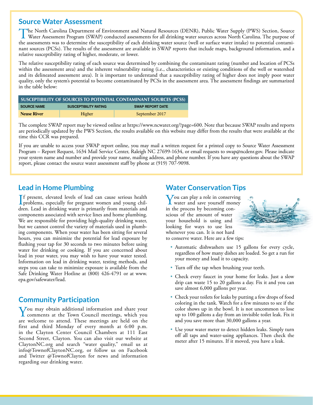## **Source Water Assessment**

The North Carolina Department of Environment and Natural Resources (DENR), Public Water Supply (PWS) Section, Source<br>Water Assessment Program (SWAP) conducted assessments for all drinking water sources across North Carolin the assessments was to determine the susceptibility of each drinking water source (well or surface water intake) to potential contaminant sources (PCSs). The results of the assessment are available in SWAP reports that include maps, background information, and a relative susceptibility rating of higher, moderate, or lower.

The relative susceptibility rating of each source was determined by combining the contaminant rating (number and location of PCSs within the assessment area) and the inherent vulnerability rating (i.e., characteristics or existing conditions of the well or watershed and its delineated assessment area). It is important to understand that a susceptibility rating of higher does not imply poor water quality, only the system's potential to become contaminated by PCSs in the assessment area. The assessment findings are summarized in the table below:

| SUSCEPTIBILITY OF SOURCES TO POTENTIAL CONTAMINANT SOURCES (PCSS) |                              |                         |  |  |  |  |  |  |  |
|-------------------------------------------------------------------|------------------------------|-------------------------|--|--|--|--|--|--|--|
| <b>SOURCE NAME</b>                                                | <b>SUSCEPTIBILITY RATING</b> | <b>SWAP REPORT DATE</b> |  |  |  |  |  |  |  |
| <b>Neuse River</b>                                                | Higher                       | September 2017          |  |  |  |  |  |  |  |

The complete SWAP report may be viewed online at [https://www.ncwater.org/?page=600.](https://www.ncwater.org/?page=600) Note that because SWAP results and reports are periodically updated by the PWS Section, the results available on this website may differ from the results that were available at the time this CCR was prepared.

If you are unable to access your SWAP report online, you may mail a written request for a printed copy to Source Water Assessment Program – Report Request, 1634 Mail Service Center, Raleigh NC 27699-1634, or email requests to [swap@ncdenr.gov.](mailto:swap@ncdenr.gov) Please indicate your system name and number and provide your name, mailing address, and phone number. If you have any questions about the SWAP report, please contact the source water assessment staff by phone at (919) 707-9098.

# **Lead in Home Plumbing**

If present, elevated levels of lead can cause serious health<br>problems, especially for pregnant women and young chil-<br>data and in distribution measurements for measurements problems, especially for pregnant women and young children. Lead in drinking water is primarily from materials and components associated with service lines and home plumbing. We are responsible for providing high-quality drinking water, but we cannot control the variety of materials used in plumbing components. When your water has been sitting for several hours, you can minimize the potential for lead exposure by flushing your tap for 30 seconds to two minutes before using water for drinking or cooking. If you are concerned about lead in your water, you may wish to have your water tested. Information on lead in drinking water, testing methods, and steps you can take to minimize exposure is available from the Safe Drinking Water Hotline at (800) 426-4791 or at [www.](http://www.epa.gov/safewater/lead) [epa.gov/safewater/lead.](http://www.epa.gov/safewater/lead)

# **Community Participation**

You may obtain additional information and share your comments at the Town Council meetings, which you are welcome to attend. These meetings are held on the first and third Monday of every month at 6:00 p.m. in the Clayton Center Council Chambers at 111 East Second Street, Clayton. You can also visit our website at [ClaytonNC.org](http://ClaytonNC.org) and search "water quality," email us at [info@TownofClaytonNC.org](mailto:info@TownofClaytonNC.org), or follow us on Facebook and Twitter @TownofClayton for news and information regarding our drinking water.

# **Water Conservation Tips**

You can play a role in conserving water and save yourself money in the process by becoming conscious of the amount of water your household is using and looking for ways to use less whenever you can. It is not hard to conserve water. Here are a few tips:



- Automatic dishwashers use 15 gallons for every cycle, regardless of how many dishes are loaded. So get a run for your money and load it to capacity.
- Turn off the tap when brushing your teeth.
- Check every faucet in your home for leaks. Just a slow drip can waste 15 to 20 gallons a day. Fix it and you can save almost 6,000 gallons per year.
- Check your toilets for leaks by putting a few drops of food coloring in the tank. Watch for a few minutes to see if the color shows up in the bowl. It is not uncommon to lose up to 100 gallons a day from an invisible toilet leak. Fix it and you save more than 30,000 gallons a year.
- Use your water meter to detect hidden leaks. Simply turn off all taps and water-using appliances. Then check the meter after 15 minutes. If it moved, you have a leak.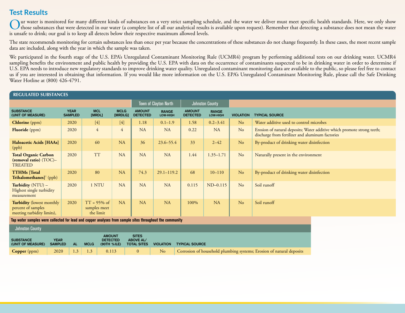# **Test Results**

**REGULATED SUBSTANCES**

Our water is monitored for many different kinds of substances on a very strict sampling schedule, and the water we deliver must meet specific health standards. Here, we only show<br>those substances that were detected in our is unsafe to drink; our goal is to keep all detects below their respective maximum allowed levels.

The state recommends monitoring for certain substances less than once per year because the concentrations of these substances do not change frequently. In these cases, the most recent sample data are included, along with the year in which the sample was taken.

We participated in the fourth stage of the U.S. EPA's Unregulated Contaminant Monitoring Rule (UCMR4) program by performing additional tests on our drinking water. UCMR4 sampling benefits the environment and public health by providing the U.S. EPA with data on the occurrence of contaminants suspected to be in drinking water in order to determine if U.S. EPA needs to introduce new regulatory standards to improve drinking water quality. Unregulated contaminant monitoring data are available to the public, so please feel free to contact us if you are interested in obtaining that information. If you would like more information on the U.S. EPA's Unregulated Contaminant Monitoring Rule, please call the Safe Drinking Water Hotline at (800) 426-4791.

| KEGULATED SUBSTANCES                                                                                                                                  |  |                               |                                             |  |                        |                                                        |                          |                                  |                          |                  |                                                                                                                             |  |  |
|-------------------------------------------------------------------------------------------------------------------------------------------------------|--|-------------------------------|---------------------------------------------|--|------------------------|--------------------------------------------------------|--------------------------|----------------------------------|--------------------------|------------------|-----------------------------------------------------------------------------------------------------------------------------|--|--|
|                                                                                                                                                       |  |                               |                                             |  |                        |                                                        | Town of Clayton North    |                                  | <b>Johnston County</b>   |                  |                                                                                                                             |  |  |
| <b>SUBSTANCE</b><br>(UNIT OF MEASURE)                                                                                                                 |  | <b>YEAR</b><br><b>SAMPLED</b> | <b>MCL</b><br>[MRDL]                        |  | <b>MCLG</b><br>[MRDLG] | <b>AMOUNT</b><br><b>DETECTED</b>                       | <b>RANGE</b><br>LOW-HIGH | <b>AMOUNT</b><br><b>DETECTED</b> | <b>RANGE</b><br>LOW-HIGH | <b>VIOLATION</b> | <b>TYPICAL SOURCE</b>                                                                                                       |  |  |
| Chlorine (ppm)                                                                                                                                        |  | 2020                          | $[4]$                                       |  | $[4]$                  | 1.18                                                   | $0.1 - 1.9$              | 1.58                             | $0.2 - 3.41$             | N <sub>o</sub>   | Water additive used to control microbes                                                                                     |  |  |
| <b>Fluoride</b> (ppm)                                                                                                                                 |  | 2020                          | $\overline{4}$                              |  | $\overline{4}$         | <b>NA</b>                                              | <b>NA</b>                | 0.22                             | <b>NA</b>                | N <sub>o</sub>   | Erosion of natural deposits; Water additive which promote strong teeth;<br>discharge from fertilizer and aluminum factories |  |  |
| Haloacetic Acids [HAAs]<br>(ppb)                                                                                                                      |  | 2020                          | 60                                          |  | NA                     | 36                                                     | $23.6 - 55.4$            | 33                               | $2 - 42$                 | N <sub>o</sub>   | By-product of drinking water disinfection                                                                                   |  |  |
| <b>Total Organic Carbon</b><br>(removal ratio) (TOC)-<br><b>TREATED</b>                                                                               |  | 2020                          | <b>TT</b>                                   |  | <b>NA</b>              | <b>NA</b>                                              | <b>NA</b>                | 1.44                             | $1.35 - 1.71$            | N <sub>o</sub>   | Naturally present in the environment                                                                                        |  |  |
| <b>TTHMs</b> [Total<br>$\mathbf{Trihalomethanes}$ ]' (ppb)                                                                                            |  | 2020                          | 80                                          |  | <b>NA</b>              | 74.3                                                   | $29.1 - 119.2$           | 68                               | $10 - 110$               | N <sub>o</sub>   | By-product of drinking water disinfection                                                                                   |  |  |
| Turbidity (NTU) -<br>Highest single turbidity<br>measurement                                                                                          |  | 2020                          | 1 NTU                                       |  | <b>NA</b>              | <b>NA</b>                                              | <b>NA</b>                | 0.115                            | $ND-0.115$               | No               | Soil runoff                                                                                                                 |  |  |
| <b>Turbidity</b> (lowest monthly<br>percent of samples<br>meeting turbidity limits),                                                                  |  | 2020                          | $TT = 95\%$ of<br>samples meet<br>the limit |  | <b>NA</b>              | <b>NA</b>                                              | <b>NA</b>                | 100%                             | <b>NA</b>                | N <sub>o</sub>   | Soil runoff                                                                                                                 |  |  |
| Tap water samples were collected for lead and copper analyses from sample sites throughout the community                                              |  |                               |                                             |  |                        |                                                        |                          |                                  |                          |                  |                                                                                                                             |  |  |
| <b>Johnston County</b>                                                                                                                                |  |                               |                                             |  |                        |                                                        |                          |                                  |                          |                  |                                                                                                                             |  |  |
| <b>AMOUNT</b><br><b>SUBSTANCE</b><br><b>YEAR</b><br><b>DETECTED</b><br><b>SAMPLED</b><br><b>AL</b><br>(UNIT OF MEASURE)<br><b>MCLG</b><br>(90TH %ILE) |  |                               |                                             |  |                        | <b>SITES</b><br><b>ABOVE AL/</b><br><b>TOTAL SITES</b> | <b>VIOLATION</b>         | <b>TYPICAL SOURCE</b>            |                          |                  |                                                                                                                             |  |  |

**Copper** (ppm) 2020 1.3 1.3 0.113 0 0 No Corrosion of household plumbing systems; Erosion of natural deposits